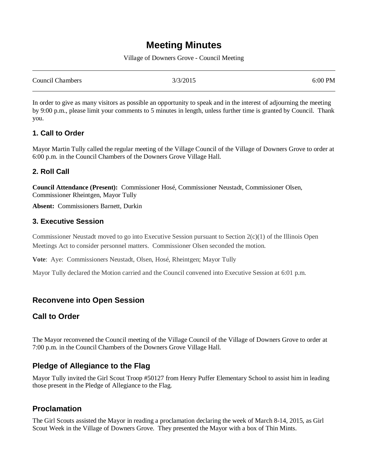# **Meeting Minutes**

Village of Downers Grove - Council Meeting

| <b>Council Chambers</b> | 3/3/2015 | 6:00 PM |
|-------------------------|----------|---------|
|                         |          |         |

In order to give as many visitors as possible an opportunity to speak and in the interest of adjourning the meeting by 9:00 p.m., please limit your comments to 5 minutes in length, unless further time is granted by Council. Thank you.

## **1. Call to Order**

Mayor Martin Tully called the regular meeting of the Village Council of the Village of Downers Grove to order at 6:00 p.m. in the Council Chambers of the Downers Grove Village Hall.

## **2. Roll Call**

**Council Attendance (Present):** Commissioner Hosé, Commissioner Neustadt, Commissioner Olsen, Commissioner Rheintgen, Mayor Tully

**Absent:** Commissioners Barnett, Durkin

## **3. Executive Session**

Commissioner Neustadt moved to go into Executive Session pursuant to Section 2(c)(1) of the Illinois Open Meetings Act to consider personnel matters. Commissioner Olsen seconded the motion.

**Vote**: Aye: Commissioners Neustadt, Olsen, Hosé, Rheintgen; Mayor Tully

Mayor Tully declared the Motion carried and the Council convened into Executive Session at 6:01 p.m.

## **Reconvene into Open Session**

## **Call to Order**

The Mayor reconvened the Council meeting of the Village Council of the Village of Downers Grove to order at 7:00 p.m. in the Council Chambers of the Downers Grove Village Hall.

## **Pledge of Allegiance to the Flag**

Mayor Tully invited the Girl Scout Troop #50127 from Henry Puffer Elementary School to assist him in leading those present in the Pledge of Allegiance to the Flag.

## **Proclamation**

The Girl Scouts assisted the Mayor in reading a proclamation declaring the week of March 8-14, 2015, as Girl Scout Week in the Village of Downers Grove. They presented the Mayor with a box of Thin Mints.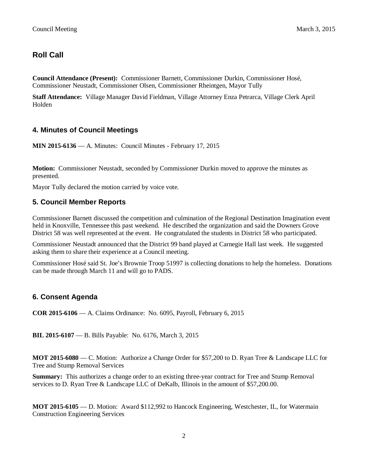## **Roll Call**

**Council Attendance (Present):** Commissioner Barnett, Commissioner Durkin, Commissioner Hosé, Commissioner Neustadt, Commissioner Olsen, Commissioner Rheintgen, Mayor Tully

**Staff Attendance:** Village Manager David Fieldman, Village Attorney Enza Petrarca, Village Clerk April Holden

## **4. Minutes of Council Meetings**

**MIN 2015-6136** — A. Minutes: Council Minutes - February 17, 2015

**Motion:** Commissioner Neustadt, seconded by Commissioner Durkin moved to approve the minutes as presented.

Mayor Tully declared the motion carried by voice vote.

### **5. Council Member Reports**

Commissioner Barnett discussed the competition and culmination of the Regional Destination Imagination event held in Knoxville, Tennessee this past weekend. He described the organization and said the Downers Grove District 58 was well represented at the event. He congratulated the students in District 58 who participated.

Commissioner Neustadt announced that the District 99 band played at Carnegie Hall last week. He suggested asking them to share their experience at a Council meeting.

Commissioner Hosé said St. Joe's Brownie Troop 51997 is collecting donations to help the homeless. Donations can be made through March 11 and will go to PADS.

## **6. Consent Agenda**

**COR 2015-6106** — A. Claims Ordinance: No. 6095, Payroll, February 6, 2015

**BIL 2015-6107** — B. Bills Payable: No. 6176, March 3, 2015

**MOT 2015-6080** — C. Motion: Authorize a Change Order for \$57,200 to D. Ryan Tree & Landscape LLC for Tree and Stump Removal Services

**Summary:** This authorizes a change order to an existing three-year contract for Tree and Stump Removal services to D. Ryan Tree & Landscape LLC of DeKalb, Illinois in the amount of \$57,200.00.

**MOT 2015-6105** — D. Motion: Award \$112,992 to Hancock Engineering, Westchester, IL, for Watermain Construction Engineering Services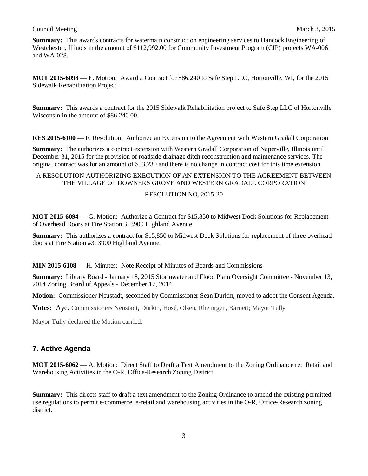**Summary:** This awards contracts for watermain construction engineering services to Hancock Engineering of Westchester, Illinois in the amount of \$112,992.00 for Community Investment Program (CIP) projects WA-006 and WA-028.

**MOT 2015-6098** — E. Motion: Award a Contract for \$86,240 to Safe Step LLC, Hortonville, WI, for the 2015 Sidewalk Rehabilitation Project

**Summary:** This awards a contract for the 2015 Sidewalk Rehabilitation project to Safe Step LLC of Hortonville, Wisconsin in the amount of \$86,240.00.

**RES 2015-6100** — F. Resolution: Authorize an Extension to the Agreement with Western Gradall Corporation

**Summary:** The authorizes a contract extension with Western Gradall Corporation of Naperville, Illinois until December 31, 2015 for the provision of roadside drainage ditch reconstruction and maintenance services. The original contract was for an amount of \$33,230 and there is no change in contract cost for this time extension.

#### A RESOLUTION AUTHORIZING EXECUTION OF AN EXTENSION TO THE AGREEMENT BETWEEN THE VILLAGE OF DOWNERS GROVE AND WESTERN GRADALL CORPORATION

#### RESOLUTION NO. 2015-20

**MOT 2015-6094** — G. Motion: Authorize a Contract for \$15,850 to Midwest Dock Solutions for Replacement of Overhead Doors at Fire Station 3, 3900 Highland Avenue

**Summary:** This authorizes a contract for \$15,850 to Midwest Dock Solutions for replacement of three overhead doors at Fire Station #3, 3900 Highland Avenue.

**MIN 2015-6108** — H. Minutes: Note Receipt of Minutes of Boards and Commissions

**Summary:** Library Board - January 18, 2015 Stormwater and Flood Plain Oversight Committee - November 13, 2014 Zoning Board of Appeals - December 17, 2014

**Motion:** Commissioner Neustadt, seconded by Commissioner Sean Durkin, moved to adopt the Consent Agenda.

**Votes:** Aye: Commissioners Neustadt, Durkin, Hosé, Olsen, Rheintgen, Barnett; Mayor Tully

Mayor Tully declared the Motion carried.

## **7. Active Agenda**

**MOT 2015-6062** — A. Motion: Direct Staff to Draft a Text Amendment to the Zoning Ordinance re: Retail and Warehousing Activities in the O-R, Office-Research Zoning District

**Summary:** This directs staff to draft a text amendment to the Zoning Ordinance to amend the existing permitted use regulations to permit e-commerce, e-retail and warehousing activities in the O-R, Office-Research zoning district.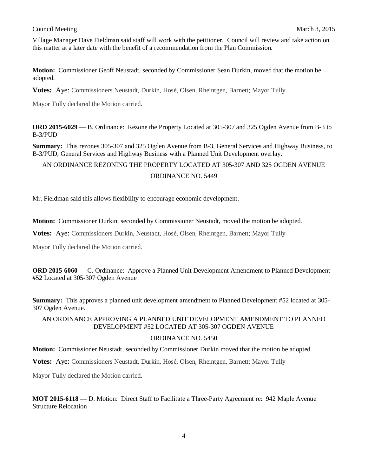Village Manager Dave Fieldman said staff will work with the petitioner. Council will review and take action on this matter at a later date with the benefit of a recommendation from the Plan Commission.

**Motion:** Commissioner Geoff Neustadt, seconded by Commissioner Sean Durkin, moved that the motion be adopted.

**Votes:** Aye: Commissioners Neustadt, Durkin, Hosé, Olsen, Rheintgen, Barnett; Mayor Tully

Mayor Tully declared the Motion carried.

**ORD 2015-6029** — B. Ordinance: Rezone the Property Located at 305-307 and 325 Ogden Avenue from B-3 to B-3/PUD

**Summary:** This rezones 305-307 and 325 Ogden Avenue from B-3, General Services and Highway Business, to B-3/PUD, General Services and Highway Business with a Planned Unit Development overlay.

AN ORDINANCE REZONING THE PROPERTY LOCATED AT 305-307 AND 325 OGDEN AVENUE

ORDINANCE NO. 5449

Mr. Fieldman said this allows flexibility to encourage economic development.

**Motion:** Commissioner Durkin, seconded by Commissioner Neustadt, moved the motion be adopted.

**Votes:** Aye: Commissioners Durkin, Neustadt, Hosé, Olsen, Rheintgen, Barnett; Mayor Tully

Mayor Tully declared the Motion carried.

**ORD 2015-6060** — C. Ordinance: Approve a Planned Unit Development Amendment to Planned Development #52 Located at 305-307 Ogden Avenue

**Summary:** This approves a planned unit development amendment to Planned Development #52 located at 305- 307 Ogden Avenue.

### AN ORDINANCE APPROVING A PLANNED UNIT DEVELOPMENT AMENDMENT TO PLANNED DEVELOPMENT #52 LOCATED AT 305-307 OGDEN AVENUE

#### ORDINANCE NO. 5450

**Motion:** Commissioner Neustadt, seconded by Commissioner Durkin moved that the motion be adopted.

**Votes:** Aye: Commissioners Neustadt, Durkin, Hosé, Olsen, Rheintgen, Barnett; Mayor Tully

Mayor Tully declared the Motion carried.

**MOT 2015-6118** — D. Motion: Direct Staff to Facilitate a Three-Party Agreement re: 942 Maple Avenue Structure Relocation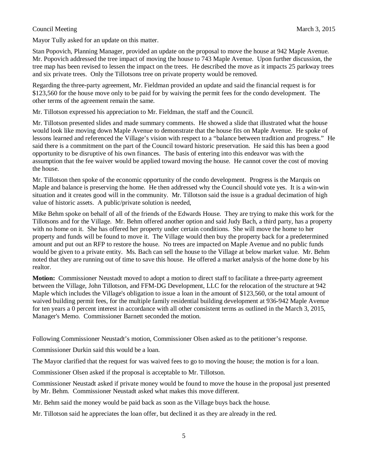Mayor Tully asked for an update on this matter.

Stan Popovich, Planning Manager, provided an update on the proposal to move the house at 942 Maple Avenue. Mr. Popovich addressed the tree impact of moving the house to 743 Maple Avenue. Upon further discussion, the tree map has been revised to lessen the impact on the trees. He described the move as it impacts 25 parkway trees and six private trees. Only the Tillotsons tree on private property would be removed.

Regarding the three-party agreement, Mr. Fieldman provided an update and said the financial request is for \$123,560 for the house move only to be paid for by waiving the permit fees for the condo development. The other terms of the agreement remain the same.

Mr. Tillotson expressed his appreciation to Mr. Fieldman, the staff and the Council.

Mr. Tillotson presented slides and made summary comments. He showed a slide that illustrated what the house would look like moving down Maple Avenue to demonstrate that the house fits on Maple Avenue. He spoke of lessons learned and referenced the Village's vision with respect to a "balance between tradition and progress." He said there is a commitment on the part of the Council toward historic preservation. He said this has been a good opportunity to be disruptive of his own finances. The basis of entering into this endeavor was with the assumption that the fee waiver would be applied toward moving the house. He cannot cover the cost of moving the house.

Mr. Tillotson then spoke of the economic opportunity of the condo development. Progress is the Marquis on Maple and balance is preserving the home. He then addressed why the Council should vote yes. It is a win-win situation and it creates good will in the community. Mr. Tillotson said the issue is a gradual decimation of high value of historic assets. A public/private solution is needed,

Mike Behm spoke on behalf of all of the friends of the Edwards House. They are trying to make this work for the Tillotsons and for the Village. Mr. Behm offered another option and said Judy Bach, a third party, has a property with no home on it. She has offered her property under certain conditions. She will move the home to her property and funds will be found to move it. The Village would then buy the property back for a predetermined amount and put out an RFP to restore the house. No trees are impacted on Maple Avenue and no public funds would be given to a private entity. Ms. Bach can sell the house to the Village at below market value. Mr. Behm noted that they are running out of time to save this house. He offered a market analysis of the home done by his realtor.

**Motion:** Commissioner Neustadt moved to adopt a motion to direct staff to facilitate a three-party agreement between the Village, John Tillotson, and FFM-DG Development, LLC for the relocation of the structure at 942 Maple which includes the Village's obligation to issue a loan in the amount of \$123,560, or the total amount of waived building permit fees, for the multiple family residential building development at 936-942 Maple Avenue for ten years a 0 percent interest in accordance with all other consistent terms as outlined in the March 3, 2015, Manager's Memo. Commissioner Barnett seconded the motion.

Following Commissioner Neustadt's motion, Commissioner Olsen asked as to the petitioner's response.

Commissioner Durkin said this would be a loan.

The Mayor clarified that the request for was waived fees to go to moving the house; the motion is for a loan.

Commissioner Olsen asked if the proposal is acceptable to Mr. Tillotson.

Commissioner Neustadt asked if private money would be found to move the house in the proposal just presented by Mr. Behm. Commissioner Neustadt asked what makes this move different.

Mr. Behm said the money would be paid back as soon as the Village buys back the house.

Mr. Tillotson said he appreciates the loan offer, but declined it as they are already in the red.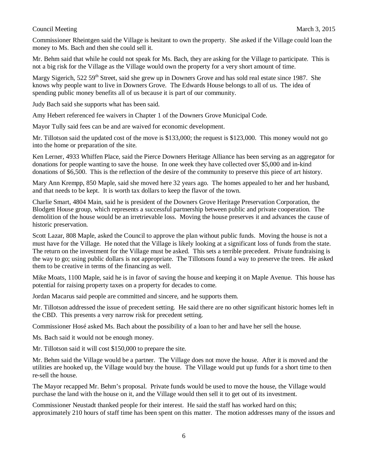Commissioner Rheintgen said the Village is hesitant to own the property. She asked if the Village could loan the money to Ms. Bach and then she could sell it.

Mr. Behm said that while he could not speak for Ms. Bach, they are asking for the Village to participate. This is not a big risk for the Village as the Village would own the property for a very short amount of time.

Margy Sigerich, 522 59<sup>th</sup> Street, said she grew up in Downers Grove and has sold real estate since 1987. She knows why people want to live in Downers Grove. The Edwards House belongs to all of us. The idea of spending public money benefits all of us because it is part of our community.

Judy Bach said she supports what has been said.

Amy Hebert referenced fee waivers in Chapter 1 of the Downers Grove Municipal Code.

Mayor Tully said fees can be and are waived for economic development.

Mr. Tillotson said the updated cost of the move is \$133,000; the request is \$123,000. This money would not go into the home or preparation of the site.

Ken Lerner, 4933 Whiffen Place, said the Pierce Downers Heritage Alliance has been serving as an aggregator for donations for people wanting to save the house. In one week they have collected over \$5,000 and in-kind donations of \$6,500. This is the reflection of the desire of the community to preserve this piece of art history.

Mary Ann Krempp, 850 Maple, said she moved here 32 years ago. The homes appealed to her and her husband, and that needs to be kept. It is worth tax dollars to keep the flavor of the town.

Charlie Smart, 4804 Main, said he is president of the Downers Grove Heritage Preservation Corporation, the Blodgett House group, which represents a successful partnership between public and private cooperation. The demolition of the house would be an irretrievable loss. Moving the house preserves it and advances the cause of historic preservation.

Scott Lazar, 808 Maple, asked the Council to approve the plan without public funds. Moving the house is not a must have for the Village. He noted that the Village is likely looking at a significant loss of funds from the state. The return on the investment for the Village must be asked. This sets a terrible precedent. Private fundraising is the way to go; using public dollars is not appropriate. The Tillotsons found a way to preserve the trees. He asked them to be creative in terms of the financing as well.

Mike Moats, 1100 Maple, said he is in favor of saving the house and keeping it on Maple Avenue. This house has potential for raising property taxes on a property for decades to come.

Jordan Macarus said people are committed and sincere, and he supports them.

Mr. Tillotson addressed the issue of precedent setting. He said there are no other significant historic homes left in the CBD. This presents a very narrow risk for precedent setting.

Commissioner Hosé asked Ms. Bach about the possibility of a loan to her and have her sell the house.

Ms. Bach said it would not be enough money.

Mr. Tillotson said it will cost \$150,000 to prepare the site.

Mr. Behm said the Village would be a partner. The Village does not move the house. After it is moved and the utilities are hooked up, the Village would buy the house. The Village would put up funds for a short time to then re-sell the house.

The Mayor recapped Mr. Behm's proposal. Private funds would be used to move the house, the Village would purchase the land with the house on it, and the Village would then sell it to get out of its investment.

Commissioner Neustadt thanked people for their interest. He said the staff has worked hard on this; approximately 210 hours of staff time has been spent on this matter. The motion addresses many of the issues and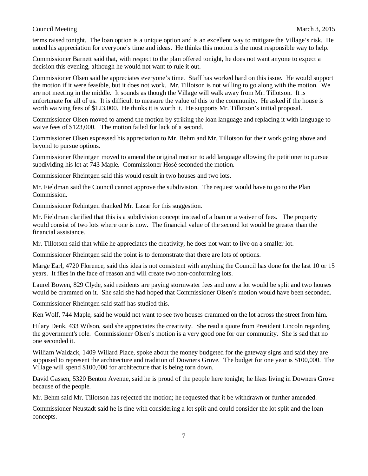terms raised tonight. The loan option is a unique option and is an excellent way to mitigate the Village's risk. He noted his appreciation for everyone's time and ideas. He thinks this motion is the most responsible way to help.

Commissioner Barnett said that, with respect to the plan offered tonight, he does not want anyone to expect a decision this evening, although he would not want to rule it out.

Commissioner Olsen said he appreciates everyone's time. Staff has worked hard on this issue. He would support the motion if it were feasible, but it does not work. Mr. Tillotson is not willing to go along with the motion. We are not meeting in the middle. It sounds as though the Village will walk away from Mr. Tillotson. It is unfortunate for all of us. It is difficult to measure the value of this to the community. He asked if the house is worth waiving fees of \$123,000. He thinks it is worth it. He supports Mr. Tillotson's initial proposal.

Commissioner Olsen moved to amend the motion by striking the loan language and replacing it with language to waive fees of \$123,000. The motion failed for lack of a second.

Commissioner Olsen expressed his appreciation to Mr. Behm and Mr. Tillotson for their work going above and beyond to pursue options.

Commissioner Rheintgen moved to amend the original motion to add language allowing the petitioner to pursue subdividing his lot at 743 Maple. Commissioner Hosé seconded the motion.

Commissioner Rheintgen said this would result in two houses and two lots.

Mr. Fieldman said the Council cannot approve the subdivision. The request would have to go to the Plan Commission.

Commissioner Rehintgen thanked Mr. Lazar for this suggestion.

Mr. Fieldman clarified that this is a subdivision concept instead of a loan or a waiver of fees. The property would consist of two lots where one is now. The financial value of the second lot would be greater than the financial assistance.

Mr. Tillotson said that while he appreciates the creativity, he does not want to live on a smaller lot.

Commissioner Rheintgen said the point is to demonstrate that there are lots of options.

Marge Earl, 4720 Florence, said this idea is not consistent with anything the Council has done for the last 10 or 15 years. It flies in the face of reason and will create two non-conforming lots.

Laurel Bowen, 829 Clyde, said residents are paying stormwater fees and now a lot would be split and two houses would be crammed on it. She said she had hoped that Commissioner Olsen's motion would have been seconded.

Commissioner Rheintgen said staff has studied this.

Ken Wolf, 744 Maple, said he would not want to see two houses crammed on the lot across the street from him.

Hilary Denk, 433 Wilson, said she appreciates the creativity. She read a quote from President Lincoln regarding the government's role. Commissioner Olsen's motion is a very good one for our community. She is sad that no one seconded it.

William Waldack, 1409 Willard Place, spoke about the money budgeted for the gateway signs and said they are supposed to represent the architecture and tradition of Downers Grove. The budget for one year is \$100,000. The Village will spend \$100,000 for architecture that is being torn down.

David Gassen, 5320 Benton Avenue, said he is proud of the people here tonight; he likes living in Downers Grove because of the people.

Mr. Behm said Mr. Tillotson has rejected the motion; he requested that it be withdrawn or further amended.

Commissioner Neustadt said he is fine with considering a lot split and could consider the lot split and the loan concepts.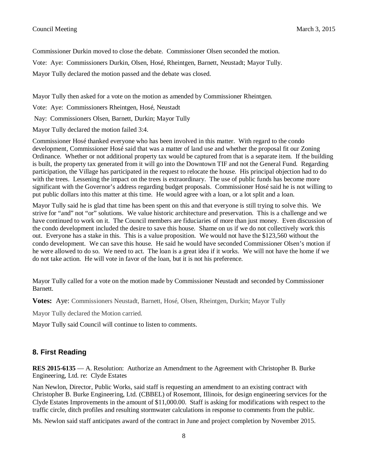Commissioner Durkin moved to close the debate. Commissioner Olsen seconded the motion.

Vote: Aye: Commissioners Durkin, Olsen, Hosé, Rheintgen, Barnett, Neustadt; Mayor Tully.

Mayor Tully declared the motion passed and the debate was closed.

Mayor Tully then asked for a vote on the motion as amended by Commissioner Rheintgen.

Vote: Aye: Commissioners Rheintgen, Hosé, Neustadt

Nay: Commissioners Olsen, Barnett, Durkin; Mayor Tully

Mayor Tully declared the motion failed 3:4.

Commissioner Hosé thanked everyone who has been involved in this matter. With regard to the condo development, Commissioner Hosé said that was a matter of land use and whether the proposal fit our Zoning Ordinance. Whether or not additional property tax would be captured from that is a separate item. If the building is built, the property tax generated from it will go into the Downtown TIF and not the General Fund. Regarding participation, the Village has participated in the request to relocate the house. His principal objection had to do with the trees. Lessening the impact on the trees is extraordinary. The use of public funds has become more significant with the Governor's address regarding budget proposals. Commissioner Hosé said he is not willing to put public dollars into this matter at this time. He would agree with a loan, or a lot split and a loan.

Mayor Tully said he is glad that time has been spent on this and that everyone is still trying to solve this. We strive for "and" not "or" solutions. We value historic architecture and preservation. This is a challenge and we have continued to work on it. The Council members are fiduciaries of more than just money. Even discussion of the condo development included the desire to save this house. Shame on us if we do not collectively work this out. Everyone has a stake in this. This is a value proposition. We would not have the \$123,560 without the condo development. We can save this house. He said he would have seconded Commissioner Olsen's motion if he were allowed to do so. We need to act. The loan is a great idea if it works. We will not have the home if we do not take action. He will vote in favor of the loan, but it is not his preference.

Mayor Tully called for a vote on the motion made by Commissioner Neustadt and seconded by Commissioner Barnett.

**Votes:** Aye: Commissioners Neustadt, Barnett, Hosé, Olsen, Rheintgen, Durkin; Mayor Tully

Mayor Tully declared the Motion carried.

Mayor Tully said Council will continue to listen to comments.

## **8. First Reading**

**RES 2015-6135** — A. Resolution: Authorize an Amendment to the Agreement with Christopher B. Burke Engineering, Ltd. re: Clyde Estates

Nan Newlon, Director, Public Works, said staff is requesting an amendment to an existing contract with Christopher B. Burke Engineering, Ltd. (CBBEL) of Rosemont, Illinois, for design engineering services for the Clyde Estates Improvements in the amount of \$11,000.00. Staff is asking for modifications with respect to the traffic circle, ditch profiles and resulting stormwater calculations in response to comments from the public.

Ms. Newlon said staff anticipates award of the contract in June and project completion by November 2015.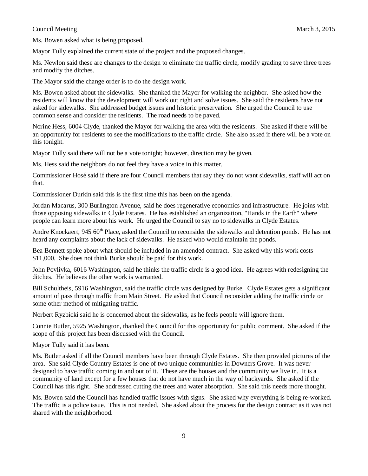Ms. Bowen asked what is being proposed.

Mayor Tully explained the current state of the project and the proposed changes.

Ms. Newlon said these are changes to the design to eliminate the traffic circle, modify grading to save three trees and modify the ditches.

The Mayor said the change order is to do the design work.

Ms. Bowen asked about the sidewalks. She thanked the Mayor for walking the neighbor. She asked how the residents will know that the development will work out right and solve issues. She said the residents have not asked for sidewalks. She addressed budget issues and historic preservation. She urged the Council to use common sense and consider the residents. The road needs to be paved.

Norine Hess, 6004 Clyde, thanked the Mayor for walking the area with the residents. She asked if there will be an opportunity for residents to see the modifications to the traffic circle. She also asked if there will be a vote on this tonight.

Mayor Tully said there will not be a vote tonight; however, direction may be given.

Ms. Hess said the neighbors do not feel they have a voice in this matter.

Commissioner Hosé said if there are four Council members that say they do not want sidewalks, staff will act on that.

Commissioner Durkin said this is the first time this has been on the agenda.

Jordan Macarus, 300 Burlington Avenue, said he does regenerative economics and infrastructure. He joins with those opposing sidewalks in Clyde Estates. He has established an organization, "Hands in the Earth" where people can learn more about his work. He urged the Council to say no to sidewalks in Clyde Estates.

Andre Knockaert, 945 60<sup>th</sup> Place, asked the Council to reconsider the sidewalks and detention ponds. He has not heard any complaints about the lack of sidewalks. He asked who would maintain the ponds.

Bea Bennett spoke about what should be included in an amended contract. She asked why this work costs \$11,000. She does not think Burke should be paid for this work.

John Povlivka, 6016 Washington, said he thinks the traffic circle is a good idea. He agrees with redesigning the ditches. He believes the other work is warranted.

Bill Schultheis, 5916 Washington, said the traffic circle was designed by Burke. Clyde Estates gets a significant amount of pass through traffic from Main Street. He asked that Council reconsider adding the traffic circle or some other method of mitigating traffic.

Norbert Ryzbicki said he is concerned about the sidewalks, as he feels people will ignore them.

Connie Butler, 5925 Washington, thanked the Council for this opportunity for public comment. She asked if the scope of this project has been discussed with the Council.

Mayor Tully said it has been.

Ms. Butler asked if all the Council members have been through Clyde Estates. She then provided pictures of the area. She said Clyde Country Estates is one of two unique communities in Downers Grove. It was never designed to have traffic coming in and out of it. These are the houses and the community we live in. It is a community of land except for a few houses that do not have much in the way of backyards. She asked if the Council has this right. She addressed cutting the trees and water absorption. She said this needs more thought.

Ms. Bowen said the Council has handled traffic issues with signs. She asked why everything is being re-worked. The traffic is a police issue. This is not needed. She asked about the process for the design contract as it was not shared with the neighborhood.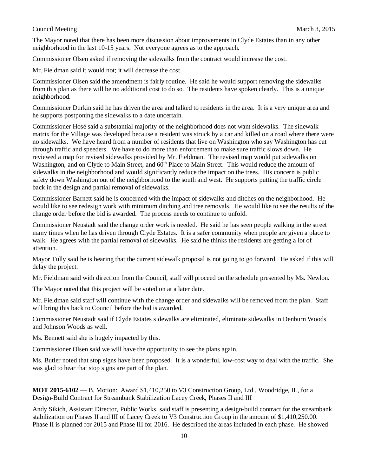The Mayor noted that there has been more discussion about improvements in Clyde Estates than in any other neighborhood in the last 10-15 years. Not everyone agrees as to the approach.

Commissioner Olsen asked if removing the sidewalks from the contract would increase the cost.

Mr. Fieldman said it would not; it will decrease the cost.

Commissioner Olsen said the amendment is fairly routine. He said he would support removing the sidewalks from this plan as there will be no additional cost to do so. The residents have spoken clearly. This is a unique neighborhood.

Commissioner Durkin said he has driven the area and talked to residents in the area. It is a very unique area and he supports postponing the sidewalks to a date uncertain.

Commissioner Hosé said a substantial majority of the neighborhood does not want sidewalks. The sidewalk matrix for the Village was developed because a resident was struck by a car and killed on a road where there were no sidewalks. We have heard from a number of residents that live on Washington who say Washington has cut through traffic and speeders. We have to do more than enforcement to make sure traffic slows down. He reviewed a map for revised sidewalks provided by Mr. Fieldman. The revised map would put sidewalks on Washington, and on Clyde to Main Street, and  $60<sup>th</sup>$  Place to Main Street. This would reduce the amount of sidewalks in the neighborhood and would significantly reduce the impact on the trees. His concern is public safety down Washington out of the neighborhood to the south and west. He supports putting the traffic circle back in the design and partial removal of sidewalks.

Commissioner Barnett said he is concerned with the impact of sidewalks and ditches on the neighborhood. He would like to see redesign work with minimum ditching and tree removals. He would like to see the results of the change order before the bid is awarded. The process needs to continue to unfold.

Commissioner Neustadt said the change order work is needed. He said he has seen people walking in the street many times when he has driven through Clyde Estates. It is a safer community when people are given a place to walk. He agrees with the partial removal of sidewalks. He said he thinks the residents are getting a lot of attention.

Mayor Tully said he is hearing that the current sidewalk proposal is not going to go forward. He asked if this will delay the project.

Mr. Fieldman said with direction from the Council, staff will proceed on the schedule presented by Ms. Newlon.

The Mayor noted that this project will be voted on at a later date.

Mr. Fieldman said staff will continue with the change order and sidewalks will be removed from the plan. Staff will bring this back to Council before the bid is awarded.

Commissioner Neustadt said if Clyde Estates sidewalks are eliminated, eliminate sidewalks in Denburn Woods and Johnson Woods as well.

Ms. Bennett said she is hugely impacted by this.

Commissioner Olsen said we will have the opportunity to see the plans again.

Ms. Butler noted that stop signs have been proposed. It is a wonderful, low-cost way to deal with the traffic. She was glad to hear that stop signs are part of the plan.

**MOT 2015-6102** — B. Motion: Award \$1,410,250 to V3 Construction Group, Ltd., Woodridge, IL, for a Design-Build Contract for Streambank Stabilization Lacey Creek, Phases II and III

Andy Sikich, Assistant Director, Public Works, said staff is presenting a design-build contract for the streambank stabilization on Phases II and III of Lacey Creek to V3 Construction Group in the amount of \$1,410,250.00. Phase II is planned for 2015 and Phase III for 2016. He described the areas included in each phase. He showed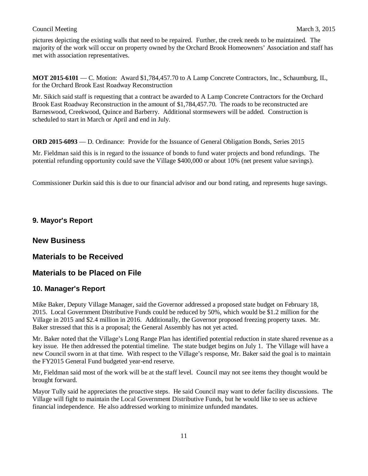pictures depicting the existing walls that need to be repaired. Further, the creek needs to be maintained. The majority of the work will occur on property owned by the Orchard Brook Homeowners' Association and staff has met with association representatives.

**MOT 2015-6101** — C. Motion: Award \$1,784,457.70 to A Lamp Concrete Contractors, Inc., Schaumburg, IL, for the Orchard Brook East Roadway Reconstruction

Mr. Sikich said staff is requesting that a contract be awarded to A Lamp Concrete Contractors for the Orchard Brook East Roadway Reconstruction in the amount of \$1,784,457.70. The roads to be reconstructed are Barneswood, Creekwood, Quince and Barberry. Additional stormsewers will be added. Construction is scheduled to start in March or April and end in July.

**ORD 2015-6093** — D. Ordinance: Provide for the Issuance of General Obligation Bonds, Series 2015

Mr. Fieldman said this is in regard to the issuance of bonds to fund water projects and bond refundings. The potential refunding opportunity could save the Village \$400,000 or about 10% (net present value savings).

Commissioner Durkin said this is due to our financial advisor and our bond rating, and represents huge savings.

## **9. Mayor's Report**

## **New Business**

## **Materials to be Received**

## **Materials to be Placed on File**

#### **10. Manager's Report**

Mike Baker, Deputy Village Manager, said the Governor addressed a proposed state budget on February 18, 2015. Local Government Distributive Funds could be reduced by 50%, which would be \$1.2 million for the Village in 2015 and \$2.4 million in 2016. Additionally, the Governor proposed freezing property taxes. Mr. Baker stressed that this is a proposal; the General Assembly has not yet acted.

Mr. Baker noted that the Village's Long Range Plan has identified potential reduction in state shared revenue as a key issue. He then addressed the potential timeline. The state budget begins on July 1. The Village will have a new Council sworn in at that time. With respect to the Village's response, Mr. Baker said the goal is to maintain the FY2015 General Fund budgeted year-end reserve.

Mr, Fieldman said most of the work will be at the staff level. Council may not see items they thought would be brought forward.

Mayor Tully said he appreciates the proactive steps. He said Council may want to defer facility discussions. The Village will fight to maintain the Local Government Distributive Funds, but he would like to see us achieve financial independence. He also addressed working to minimize unfunded mandates.